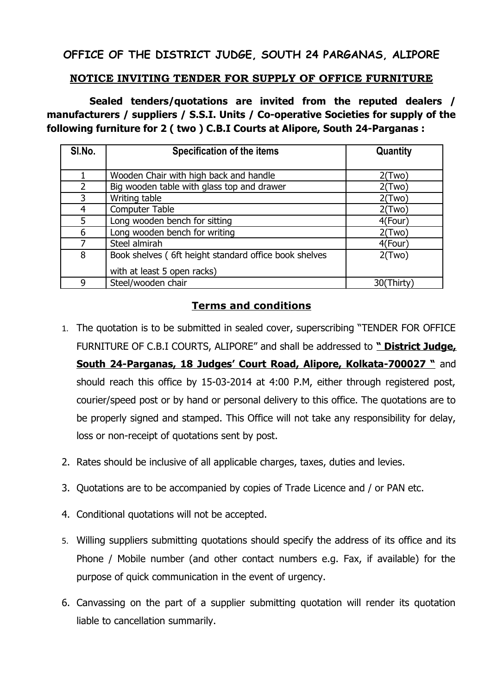## **OFFICE OF THE DISTRICT JUDGE, SOUTH 24 PARGANAS, ALIPORE**

## **NOTICE INVITING TENDER FOR SUPPLY OF OFFICE FURNITURE**

 **Sealed tenders/quotations are invited from the reputed dealers / manufacturers / suppliers / S.S.I. Units / Co-operative Societies for supply of the following furniture for 2 ( two ) C.B.I Courts at Alipore, South 24-Parganas :**

| SI.No.         | Specification of the items                            | Quantity  |
|----------------|-------------------------------------------------------|-----------|
|                |                                                       |           |
|                | Wooden Chair with high back and handle                | 2(Two)    |
| $\overline{2}$ | Big wooden table with glass top and drawer            | 2(Two)    |
| 3              | Writing table                                         | 2(Two)    |
| 4              | <b>Computer Table</b>                                 | 2(Two)    |
| 5              | Long wooden bench for sitting                         | 4(Four)   |
| 6              | Long wooden bench for writing                         | 2(Two)    |
| 7              | Steel almirah                                         | 4(Four)   |
| 8              | Book shelves (6ft height standard office book shelves | 2(Two)    |
|                | with at least 5 open racks)                           |           |
| 9              | Steel/wooden chair                                    | 30(Thirty |

## **Terms and conditions**

- 1. The quotation is to be submitted in sealed cover, superscribing "TENDER FOR OFFICE FURNITURE OF C.B.I COURTS, ALIPORE" and shall be addressed to **" District Judge, South 24-Parganas, 18 Judges' Court Road, Alipore, Kolkata-700027 "** and should reach this office by 15-03-2014 at 4:00 P.M, either through registered post, courier/speed post or by hand or personal delivery to this office. The quotations are to be properly signed and stamped. This Office will not take any responsibility for delay, loss or non-receipt of quotations sent by post.
- 2. Rates should be inclusive of all applicable charges, taxes, duties and levies.
- 3. Quotations are to be accompanied by copies of Trade Licence and / or PAN etc.
- 4. Conditional quotations will not be accepted.
- 5. Willing suppliers submitting quotations should specify the address of its office and its Phone / Mobile number (and other contact numbers e.g. Fax, if available) for the purpose of quick communication in the event of urgency.
- 6. Canvassing on the part of a supplier submitting quotation will render its quotation liable to cancellation summarily.